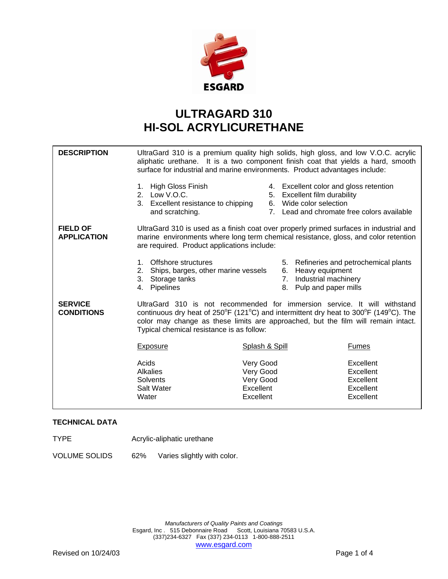

## **ULTRAGARD 310 HI-SOL ACRYLICURETHANE**

| UltraGard 310 is a premium quality high solids, high gloss, and low V.O.C. acrylic<br>aliphatic urethane. It is a two component finish coat that yields a hard, smooth<br>surface for industrial and marine environments. Product advantages include:                                                                                        |                                                                                                                                                    |                                                                            |
|----------------------------------------------------------------------------------------------------------------------------------------------------------------------------------------------------------------------------------------------------------------------------------------------------------------------------------------------|----------------------------------------------------------------------------------------------------------------------------------------------------|----------------------------------------------------------------------------|
| <b>High Gloss Finish</b><br>1.<br>2. Low V.O.C.<br>and scratching.                                                                                                                                                                                                                                                                           | 4. Excellent color and gloss retention<br>Excellent film durability<br>5.<br>6. Wide color selection<br>7. Lead and chromate free colors available |                                                                            |
| UltraGard 310 is used as a finish coat over properly primed surfaces in industrial and<br>marine environments where long term chemical resistance, gloss, and color retention<br>are required. Product applications include:                                                                                                                 |                                                                                                                                                    |                                                                            |
| Offshore structures<br>$1_{-}$<br>2.<br>3.<br>Storage tanks<br>Pipelines<br>4.                                                                                                                                                                                                                                                               | 6. Heavy equipment<br>7. Industrial machinery<br>Pulp and paper mills<br>8.                                                                        | 5. Refineries and petrochemical plants                                     |
| UltraGard 310 is not recommended for immersion service. It will withstand<br>continuous dry heat of $250^{\circ}F$ (121 $^{\circ}C$ ) and intermittent dry heat to 300 $^{\circ}F$ (149 $^{\circ}C$ ). The<br>color may change as these limits are approached, but the film will remain intact.<br>Typical chemical resistance is as follow: |                                                                                                                                                    |                                                                            |
| <b>Exposure</b>                                                                                                                                                                                                                                                                                                                              | Splash & Spill                                                                                                                                     | <b>Fumes</b>                                                               |
| Acids<br><b>Alkalies</b><br>Solvents<br>Salt Water<br>Water                                                                                                                                                                                                                                                                                  | Very Good<br>Very Good<br>Very Good<br>Excellent<br>Excellent                                                                                      | Excellent<br>Excellent<br>Excellent<br>Excellent<br>Excellent              |
|                                                                                                                                                                                                                                                                                                                                              |                                                                                                                                                    | 3. Excellent resistance to chipping<br>Ships, barges, other marine vessels |

## **TECHNICAL DATA**

TYPE Acrylic-aliphatic urethane

VOLUME SOLIDS 62% Varies slightly with color.

*Manufacturers of Quality Paints and Coatings*  Esgard, Inc . 515 Debonnaire Road Scott, Louisiana 70583 U.S.A. (337)234-6327 Fax (337) 234-0113 1-800-888-2511 www.esgard.com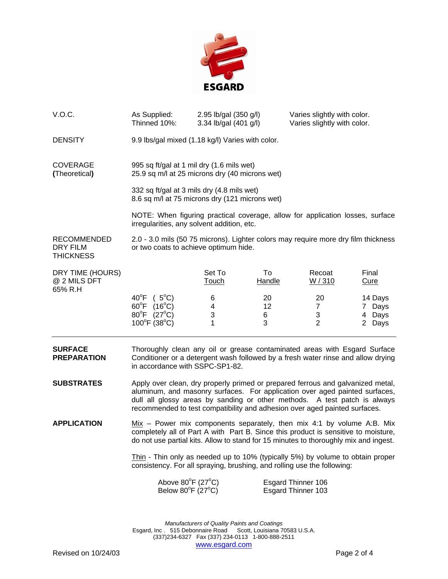

| V.O.C.                                                    | As Supplied:<br>Thinned 10%:                                                                                                                                                                                                                                                                                                                                                                                        | 2.95 lb/gal (350 g/l)<br>3.34 lb/gal (401 g/l) |                     | Varies slightly with color.<br>Varies slightly with color. |                                       |
|-----------------------------------------------------------|---------------------------------------------------------------------------------------------------------------------------------------------------------------------------------------------------------------------------------------------------------------------------------------------------------------------------------------------------------------------------------------------------------------------|------------------------------------------------|---------------------|------------------------------------------------------------|---------------------------------------|
| <b>DENSITY</b>                                            | 9.9 lbs/gal mixed (1.18 kg/l) Varies with color.                                                                                                                                                                                                                                                                                                                                                                    |                                                |                     |                                                            |                                       |
| <b>COVERAGE</b><br>(Theoretical)                          | 995 sq ft/gal at 1 mil dry (1.6 mils wet)<br>25.9 sq m/l at 25 microns dry (40 microns wet)                                                                                                                                                                                                                                                                                                                         |                                                |                     |                                                            |                                       |
|                                                           | 332 sq ft/gal at 3 mils dry (4.8 mils wet)<br>8.6 sq m/l at 75 microns dry (121 microns wet)                                                                                                                                                                                                                                                                                                                        |                                                |                     |                                                            |                                       |
|                                                           | NOTE: When figuring practical coverage, allow for application losses, surface<br>irregularities, any solvent addition, etc.                                                                                                                                                                                                                                                                                         |                                                |                     |                                                            |                                       |
| <b>RECOMMENDED</b><br><b>DRY FILM</b><br><b>THICKNESS</b> | 2.0 - 3.0 mils (50 75 microns). Lighter colors may require more dry film thickness<br>or two coats to achieve optimum hide.                                                                                                                                                                                                                                                                                         |                                                |                     |                                                            |                                       |
| DRY TIME (HOURS)<br>@ 2 MILS DFT<br>65% R.H               |                                                                                                                                                                                                                                                                                                                                                                                                                     | Set To<br><u>Touch</u>                         | To<br><b>Handle</b> | Recoat<br>W/310                                            | Final<br><b>Cure</b>                  |
|                                                           | $40^{\circ}F$ ( $5^{\circ}C$ )<br>$60^{\circ}F$ (16°C)<br>80°F (27°C)<br>$100^{\circ}$ F (38 $^{\circ}$ C)                                                                                                                                                                                                                                                                                                          | 6<br>4<br>3<br>1                               | 20<br>12<br>6<br>3  | 20<br>$\overline{7}$<br>3<br>$\overline{2}$                | 14 Days<br>7 Days<br>4 Days<br>2 Days |
| <b>SURFACE</b><br><b>PREPARATION</b>                      | Thoroughly clean any oil or grease contaminated areas with Esgard Surface<br>Conditioner or a detergent wash followed by a fresh water rinse and allow drying<br>in accordance with SSPC-SP1-82.                                                                                                                                                                                                                    |                                                |                     |                                                            |                                       |
| <b>SUBSTRATES</b>                                         | Apply over clean, dry properly primed or prepared ferrous and galvanized metal,<br>aluminum, and masonry surfaces. For application over aged painted surfaces,<br>dull all glossy areas by sanding or other methods. A test patch is always<br>recommended to test compatibility and adhesion over aged painted surfaces.                                                                                           |                                                |                     |                                                            |                                       |
| <b>APPLICATION</b>                                        | $Mix - Power mix components separately, then mix 4:1 by volume A:B. Mix$<br>completely all of Part A with Part B. Since this product is sensitive to moisture,<br>do not use partial kits. Allow to stand for 15 minutes to thoroughly mix and ingest.<br>Thin - Thin only as needed up to 10% (typically 5%) by volume to obtain proper<br>consistency. For all spraying, brushing, and rolling use the following: |                                                |                     |                                                            |                                       |
|                                                           |                                                                                                                                                                                                                                                                                                                                                                                                                     |                                                |                     |                                                            |                                       |
|                                                           | Above $80^{\circ}$ F (27 $^{\circ}$ C)<br>Below $80^{\circ}$ F (27°C)                                                                                                                                                                                                                                                                                                                                               |                                                |                     | Esgard Thinner 106<br><b>Esgard Thinner 103</b>            |                                       |
|                                                           |                                                                                                                                                                                                                                                                                                                                                                                                                     |                                                |                     |                                                            |                                       |

*Manufacturers of Quality Paints and Coatings*  Esgard, Inc . 515 Debonnaire Road Scott, Louisiana 70583 U.S.A. (337)234-6327 Fax (337) 234-0113 1-800-888-2511 www.esgard.com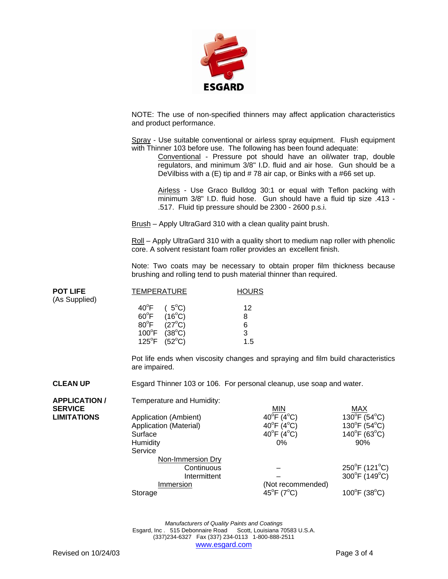

NOTE: The use of non-specified thinners may affect application characteristics and product performance.

Spray - Use suitable conventional or airless spray equipment. Flush equipment with Thinner 103 before use. The following has been found adequate:

Conventional - Pressure pot should have an oil/water trap, double regulators, and minimum 3/8" I.D. fluid and air hose. Gun should be a DeVilbiss with a  $(E)$  tip and #78 air cap, or Binks with a #66 set up.

Airless - Use Graco Bulldog 30:1 or equal with Teflon packing with minimum 3/8" I.D. fluid hose. Gun should have a fluid tip size .413 - .517. Fluid tip pressure should be 2300 - 2600 p.s.i.

Brush – Apply UltraGard 310 with a clean quality paint brush.

Roll – Apply UltraGard 310 with a quality short to medium nap roller with phenolic core. A solvent resistant foam roller provides an excellent finish.

Note: Two coats may be necessary to obtain proper film thickness because brushing and rolling tend to push material thinner than required.

| <b>POT LIFE</b> | <b>TEMPERATURE</b>               | <b>HOURS</b> |  |
|-----------------|----------------------------------|--------------|--|
| (As Supplied)   |                                  |              |  |
|                 | $40^{\circ}F$ ( $5^{\circ}C$ )   | 12           |  |
|                 | $60^{\circ}$ F (16 $^{\circ}$ C) | 8            |  |
|                 | $80^{\circ}$ F (27 $^{\circ}$ C) | 6            |  |
|                 | $100^{\circ}F$ (38 $^{\circ}C$ ) | 3            |  |
|                 | $125^{\circ}F$ (52°C)            | 1.5          |  |

 Pot life ends when viscosity changes and spraying and film build characteristics are impaired.

**CLEAN UP** Esgard Thinner 103 or 106. For personal cleanup, use soap and water.

| <b>APPLICATION/</b> | Temperature and Humidity:                                                                |                                                                                                                 |                                                                                                        |
|---------------------|------------------------------------------------------------------------------------------|-----------------------------------------------------------------------------------------------------------------|--------------------------------------------------------------------------------------------------------|
| <b>SERVICE</b>      |                                                                                          | MIN                                                                                                             | MAX                                                                                                    |
| <b>LIMITATIONS</b>  | Application (Ambient)<br>Application (Material)<br>Surface<br><b>Humidity</b><br>Service | $40^{\circ}$ F (4 $^{\circ}$ C)<br>40 $^{\circ}$ F (4 $^{\circ}$ C)<br>$40^{\circ}$ F (4 $^{\circ}$ C)<br>$0\%$ | $130^{\circ}$ F (54 $^{\circ}$ C)<br>$130^{\circ}F(54^{\circ}C)$<br>$140^{\circ}F(63^{\circ}C)$<br>90% |
|                     | Non-Immersion Dry<br>Continuous<br>Intermittent<br>Immersion<br>Storage                  | (Not recommended)<br>45 $^{\circ}$ F (7 $^{\circ}$ C)                                                           | $250^{\circ}$ F (121 $^{\circ}$ C)<br>300°F (149°C)<br>$100^{\circ}$ F (38 $^{\circ}$ C)               |

*Manufacturers of Quality Paints and Coatings*  Esgard, Inc . 515 Debonnaire Road Scott, Louisiana 70583 U.S.A. (337)234-6327 Fax (337) 234-0113 1-800-888-2511 www.esgard.com